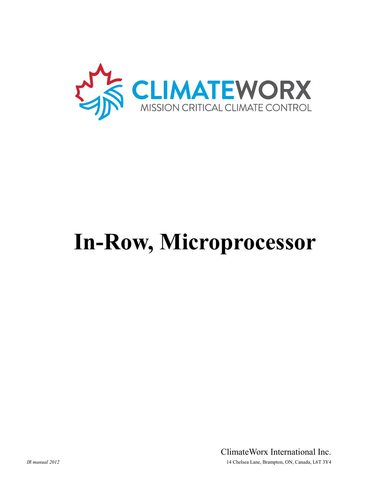

# **In-Row, Microprocessor**

ClimateWorx International Inc. *IR manual 2012* 14 Chelsea Lane, Brampton, ON, Canada, L6T 3Y4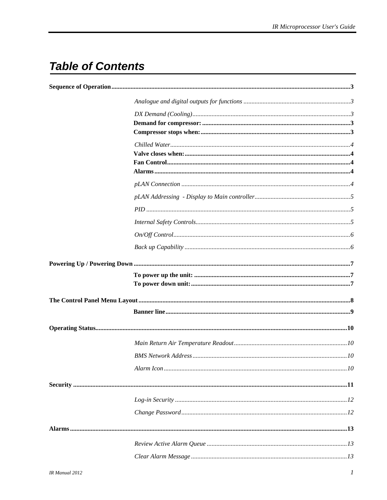# **Table of Contents**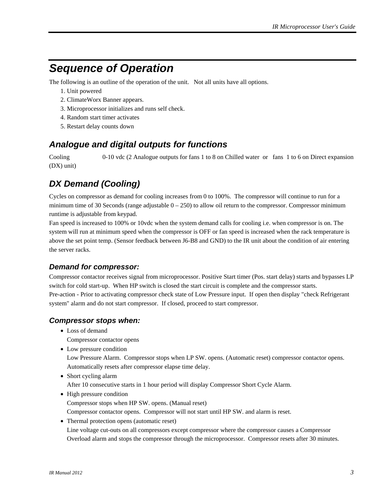## <span id="page-3-0"></span>*Sequence of Operation*

The following is an outline of the operation of the unit. Not all units have all options.

- 1. Unit powered
- 2. ClimateWorx Banner appears.
- 3. Microprocessor initializes and runs self check.
- 4. Random start timer activates
- 5. Restart delay counts down

#### *Analogue and digital outputs for functions*

Cooling 0-10 vdc (2 Analogue outputs for fans 1 to 8 on Chilled water or fans 1 to 6 on Direct expansion (DX) unit)

#### *DX Demand (Cooling)*

Cycles on compressor as demand for cooling increases from 0 to 100%. The compressor will continue to run for a minimum time of 30 Seconds (range adjustable  $0 - 250$ ) to allow oil return to the compressor. Compressor minimum runtime is adjustable from keypad.

Fan speed is increased to 100% or 10vdc when the system demand calls for cooling i.e. when compressor is on. The system will run at minimum speed when the compressor is OFF or fan speed is increased when the rack temperature is above the set point temp. (Sensor feedback between J6-B8 and GND) to the IR unit about the condition of air entering the server racks.

#### *Demand for compressor:*

Compressor contactor receives signal from microprocessor. Positive Start timer (Pos. start delay) starts and bypasses LP switch for cold start-up. When HP switch is closed the start circuit is complete and the compressor starts. Pre-action - Prior to activating compressor check state of Low Pressure input. If open then display "check Refrigerant system" alarm and do not start compressor. If closed, proceed to start compressor.

#### *Compressor stops when:*

- Loss of demand
	- Compressor contactor opens
- Low pressure condition

Low Pressure Alarm. Compressor stops when LP SW. opens. (Automatic reset) compressor contactor opens. Automatically resets after compressor elapse time delay.

• Short cycling alarm

After 10 consecutive starts in 1 hour period will display Compressor Short Cycle Alarm.

- High pressure condition Compressor stops when HP SW. opens. (Manual reset) Compressor contactor opens. Compressor will not start until HP SW. and alarm is reset.
- Thermal protection opens (automatic reset) Line voltage cut-outs on all compressors except compressor where the compressor causes a Compressor Overload alarm and stops the compressor through the microprocessor. Compressor resets after 30 minutes.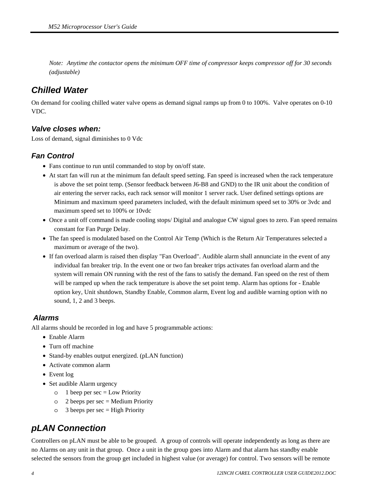<span id="page-4-0"></span>*Note: Anytime the contactor opens the minimum OFF time of compressor keeps compressor off for 30 seconds (adjustable)* 

#### *Chilled Water*

On demand for cooling chilled water valve opens as demand signal ramps up from 0 to 100%. Valve operates on 0-10 VDC.

#### *Valve closes when:*

Loss of demand, signal diminishes to 0 Vdc

#### *Fan Control*

- Fans continue to run until commanded to stop by on/off state.
- At start fan will run at the minimum fan default speed setting. Fan speed is increased when the rack temperature is above the set point temp. (Sensor feedback between J6-B8 and GND) to the IR unit about the condition of air entering the server racks, each rack sensor will monitor 1 server rack. User defined settings options are Minimum and maximum speed parameters included, with the default minimum speed set to 30% or 3vdc and maximum speed set to 100% or 10vdc
- Once a unit off command is made cooling stops/ Digital and analogue CW signal goes to zero. Fan speed remains constant for Fan Purge Delay.
- The fan speed is modulated based on the Control Air Temp (Which is the Return Air Temperatures selected a maximum or average of the two).
- If fan overload alarm is raised then display "Fan Overload". Audible alarm shall annunciate in the event of any individual fan breaker trip. In the event one or two fan breaker trips activates fan overload alarm and the system will remain ON running with the rest of the fans to satisfy the demand. Fan speed on the rest of them will be ramped up when the rack temperature is above the set point temp. Alarm has options for - Enable option key, Unit shutdown, Standby Enable, Common alarm, Event log and audible warning option with no sound, 1, 2 and 3 beeps.

#### *Alarms*

All alarms should be recorded in log and have 5 programmable actions:

- Enable Alarm
- Turn off machine
- Stand-by enables output energized. (pLAN function)
- Activate common alarm
- Event log
- Set audible Alarm urgency
	- $\circ$  1 beep per sec = Low Priority
	- $\circ$  2 beeps per sec = Medium Priority
	- $\circ$  3 beeps per sec = High Priority

#### *pLAN Connection*

Controllers on pLAN must be able to be grouped. A group of controls will operate independently as long as there are no Alarms on any unit in that group. Once a unit in the group goes into Alarm and that alarm has standby enable selected the sensors from the group get included in highest value (or average) for control. Two sensors will be remote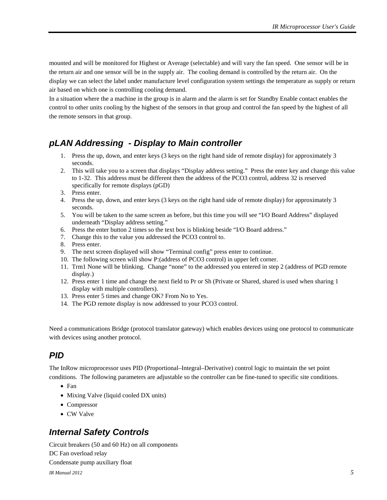<span id="page-5-0"></span>mounted and will be monitored for Highest or Average (selectable) and will vary the fan speed. One sensor will be in the return air and one sensor will be in the supply air. The cooling demand is controlled by the return air. On the display we can select the label under manufacture level configuration system settings the temperature as supply or return air based on which one is controlling cooling demand.

In a situation where the a machine in the group is in alarm and the alarm is set for Standby Enable contact enables the control to other units cooling by the highest of the sensors in that group and control the fan speed by the highest of all the remote sensors in that group.

#### *pLAN Addressing - Display to Main controller*

- 1. Press the up, down, and enter keys (3 keys on the right hand side of remote display) for approximately 3 seconds.
- 2. This will take you to a screen that displays "Display address setting." Press the enter key and change this value to 1-32. This address must be different then the address of the PCO3 control, address 32 is reserved specifically for remote displays (pGD)
- 3. Press enter.
- 4. Press the up, down, and enter keys (3 keys on the right hand side of remote display) for approximately 3 seconds.
- 5. You will be taken to the same screen as before, but this time you will see "I/O Board Address" displayed underneath "Display address setting."
- 6. Press the enter button 2 times so the text box is blinking beside "I/O Board address."
- 7. Change this to the value you addressed the PCO3 control to.
- 8. Press enter.
- 9. The next screen displayed will show "Terminal config" press enter to continue.
- 10. The following screen will show P:(address of PCO3 control) in upper left corner.
- 11. Trm1 None will be blinking. Change "none" to the addressed you entered in step 2 (address of PGD remote display.)
- 12. Press enter 1 time and change the next field to Pr or Sh (Private or Shared, shared is used when sharing 1 display with multiple controllers).
- 13. Press enter 5 times and change OK? From No to Yes.
- 14. The PGD remote display is now addressed to your PCO3 control.

Need a communications Bridge (protocol translator gateway) which enables devices using one protocol to communicate with devices using another protocol.

#### *PID*

The InRow microprocessor uses PID (Proportional–Integral–Derivative) control logic to maintain the set point conditions. The following parameters are adjustable so the controller can be fine-tuned to specific site conditions.

- Fan
- Mixing Valve (liquid cooled DX units)
- Compressor
- CW Valve

#### *Internal Safety Controls*

Circuit breakers (50 and 60 Hz) on all components DC Fan overload relay Condensate pump auxiliary float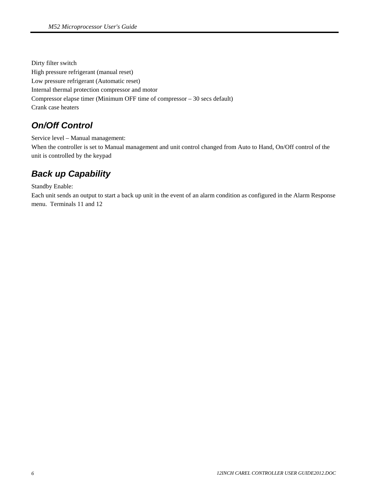<span id="page-6-0"></span>Dirty filter switch High pressure refrigerant (manual reset) Low pressure refrigerant (Automatic reset) Internal thermal protection compressor and motor Compressor elapse timer (Minimum OFF time of compressor – 30 secs default) Crank case heaters

#### *On/Off Control*

Service level – Manual management: When the controller is set to Manual management and unit control changed from Auto to Hand, On/Off control of the unit is controlled by the keypad

## *Back up Capability*

Standby Enable:

Each unit sends an output to start a back up unit in the event of an alarm condition as configured in the Alarm Response menu. Terminals 11 and 12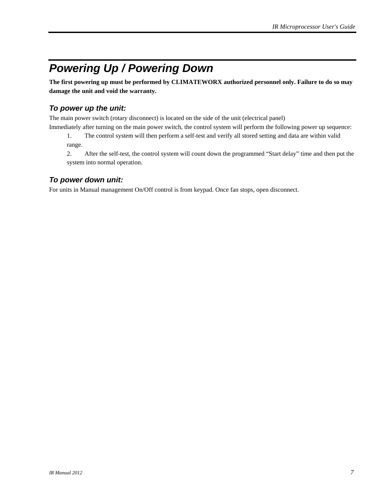# <span id="page-7-0"></span>*Powering Up / Powering Down*

**The first powering up must be performed by CLIMATEWORX authorized personnel only. Failure to do so may damage the unit and void the warranty.** 

#### *To power up the unit:*

The main power switch (rotary disconnect) is located on the side of the unit (electrical panel)

Immediately after turning on the main power switch, the control system will perform the following power up sequence:

1. The control system will then perform a self-test and verify all stored setting and data are within valid range.

2. After the self-test, the control system will count down the programmed "Start delay" time and then put the system into normal operation.

#### *To power down unit:*

For units in Manual management On/Off control is from keypad. Once fan stops, open disconnect.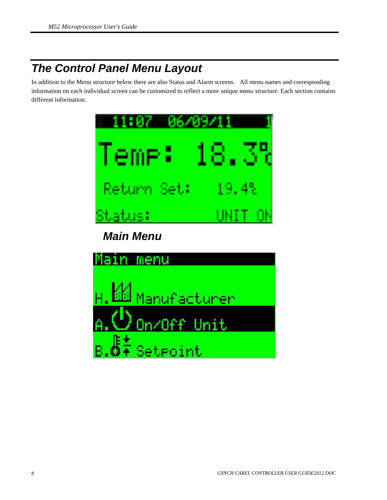# <span id="page-8-0"></span>*The Control Panel Menu Layout*

In addition to the Menu structure below there are also Status and Alarm screens. All menu names and corresponding information on each individual screen can be customized to reflect a more unique menu structure. Each section contains different information.

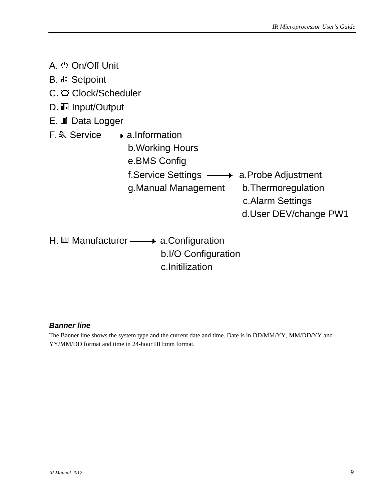<span id="page-9-0"></span>

| A. む On/Off Unit                                                                                                                                       |                                                                   |
|--------------------------------------------------------------------------------------------------------------------------------------------------------|-------------------------------------------------------------------|
| B. I <sup>#</sup> Setpoint                                                                                                                             |                                                                   |
| C. @ Clock/Scheduler                                                                                                                                   |                                                                   |
| D. <b>E</b> Input/Output                                                                                                                               |                                                                   |
| E. All Data Logger                                                                                                                                     |                                                                   |
| $F \&$ Service $\longrightarrow$ a. Information<br>b. Working Hours<br>e.BMS Config<br>f.Service Settings - a.Probe Adjustment<br>g. Manual Management | b. Thermoregulation<br>c. Alarm Settings<br>d.User DEV/change PW1 |
| H. $\mathbb{H}$ Manufacturer $\longrightarrow$ a. Configuration<br>b.I/O Configuration                                                                 |                                                                   |

c.Initilization

#### *Banner line*

The Banner line shows the system type and the current date and time. Date is in DD/MM/YY, MM/DD/YY and YY/MM/DD format and time in 24-hour HH:mm format.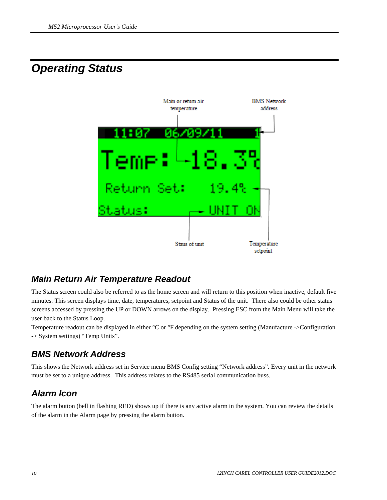## <span id="page-10-0"></span>*Operating Status*



#### *Main Return Air Temperature Readout*

The Status screen could also be referred to as the home screen and will return to this position when inactive, default five minutes. This screen displays time, date, temperatures, setpoint and Status of the unit. There also could be other status screens accessed by pressing the UP or DOWN arrows on the display. Pressing ESC from the Main Menu will take the user back to the Status Loop.

Temperature readout can be displayed in either °C or °F depending on the system setting (Manufacture ->Configuration -> System settings) "Temp Units".

#### *BMS Network Address*

This shows the Network address set in Service menu BMS Config setting "Network address". Every unit in the network must be set to a unique address. This address relates to the RS485 serial communication buss.

## *Alarm Icon*

The alarm button (bell in flashing RED) shows up if there is any active alarm in the system. You can review the details of the alarm in the Alarm page by pressing the alarm button.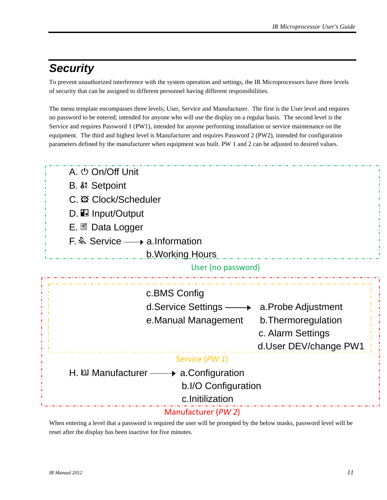## <span id="page-11-0"></span>*Security*

To prevent unauthorized interference with the system operation and settings, the IR Microprocessors have three levels of security that can be assigned to different personnel having different responsibilities.

The menu template encompasses three levels; User, Service and Manufacturer. The first is the User level and requires no password to be entered; intended for anyone who will use the display on a regular basis. The second level is the Service and requires Password 1 (PW1), intended for anyone performing installation or service maintenance on the equipment. The third and highest level is Manufacturer and requires Password 2 (PW2), intended for configuration parameters defined by the manufacturer when equipment was built. PW 1 and 2 can be adjusted to desired values.



When entering a level that a password is required the user will be prompted by the below masks, password level will be reset after the display has been inactive for five minutes.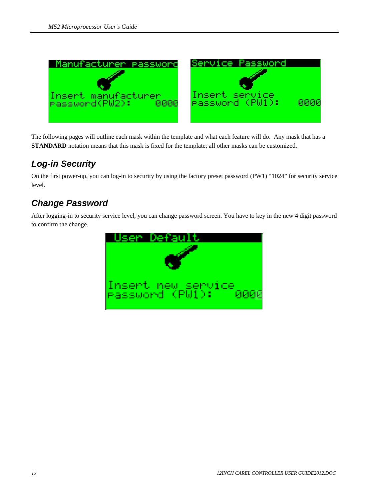<span id="page-12-0"></span>

The following pages will outline each mask within the template and what each feature will do. Any mask that has a **STANDARD** notation means that this mask is fixed for the template; all other masks can be customized.

#### *Log-in Security*

On the first power-up, you can log-in to security by using the factory preset password (PW1) "1024" for security service level.

#### *Change Password*

After logging-in to security service level, you can change password screen. You have to key in the new 4 digit password to confirm the change.

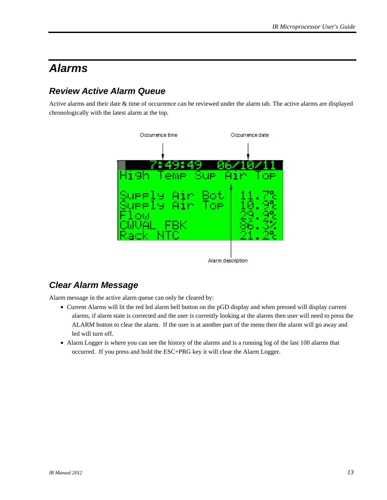## <span id="page-13-0"></span>*Alarms*

## *Review Active Alarm Queue*

Active alarms and their date & time of occurrence can be reviewed under the alarm tab. The active alarms are displayed chronologically with the latest alarm at the top.



#### *Clear Alarm Message*

Alarm message in the active alarm queue can only be cleared by:

- Current Alarms will lit the red led alarm bell button on the pGD display and when pressed will display current alarms, if alarm state is corrected and the user is currently looking at the alarms then user will need to press the ALARM button to clear the alarm. If the user is at another part of the menu then the alarm will go away and led will turn off.
- Alarm Logger is where you can see the history of the alarms and is a running log of the last 100 alarms that occurred. If you press and hold the ESC+PRG key it will clear the Alarm Logger.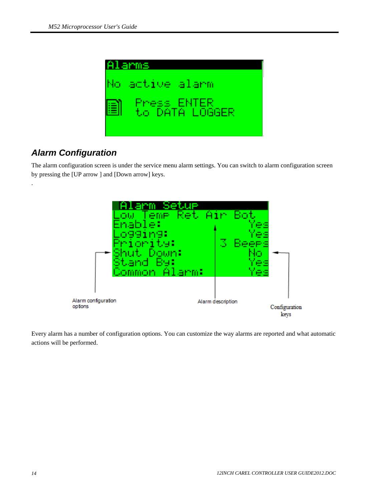<span id="page-14-0"></span>

#### *Alarm Configuration*

.

The alarm configuration screen is under the service menu alarm settings. You can switch to alarm configuration screen by pressing the [UP arrow ] and [Down arrow] keys.



Every alarm has a number of configuration options. You can customize the way alarms are reported and what automatic actions will be performed.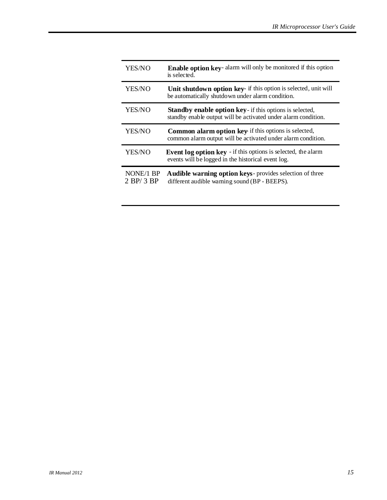| YES/NO                      | Enable option key-alarm will only be monitored if this option<br>is selected.                                                     |
|-----------------------------|-----------------------------------------------------------------------------------------------------------------------------------|
| YES/NO                      | Unit shutdown option key- if this option is selected, unit will<br>be automatically shutdown under alarm condition.               |
| YES/NO                      | <b>Standby enable option key</b> - if this options is selected,<br>standby enable output will be activated under alarm condition. |
| YES/NO                      | <b>Common alarm option key</b> if this options is selected,<br>common alarm output will be activated under alarm condition.       |
| YES/NO                      | Event log option key - if this options is selected, the alarm<br>events will be logged in the historical event log.               |
| NONE/1 BP<br>$2$ BP/ $3$ BP | Audible warning option keys-provides selection of three<br>different audible warning sound (BP - BEEPS).                          |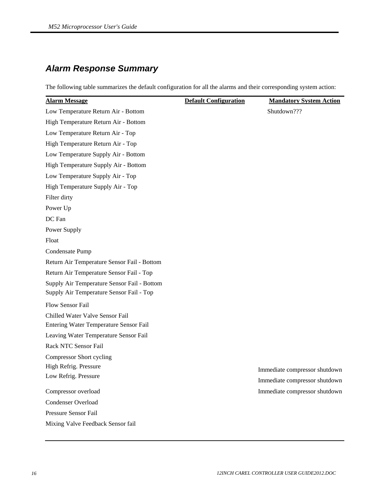## *Alarm Response Summary*

The following table summarizes the default configuration for all the alarms and their corresponding system action:

| <b>Alarm Message</b>                        | <b>Default Configuration</b> | <b>Mandatory System Action</b> |
|---------------------------------------------|------------------------------|--------------------------------|
| Low Temperature Return Air - Bottom         |                              | Shutdown???                    |
| High Temperature Return Air - Bottom        |                              |                                |
| Low Temperature Return Air - Top            |                              |                                |
| High Temperature Return Air - Top           |                              |                                |
| Low Temperature Supply Air - Bottom         |                              |                                |
| High Temperature Supply Air - Bottom        |                              |                                |
| Low Temperature Supply Air - Top            |                              |                                |
| High Temperature Supply Air - Top           |                              |                                |
| Filter dirty                                |                              |                                |
| Power Up                                    |                              |                                |
| DC Fan                                      |                              |                                |
| Power Supply                                |                              |                                |
| Float                                       |                              |                                |
| Condensate Pump                             |                              |                                |
| Return Air Temperature Sensor Fail - Bottom |                              |                                |
| Return Air Temperature Sensor Fail - Top    |                              |                                |
| Supply Air Temperature Sensor Fail - Bottom |                              |                                |
| Supply Air Temperature Sensor Fail - Top    |                              |                                |
| Flow Sensor Fail                            |                              |                                |
| Chilled Water Valve Sensor Fail             |                              |                                |
| Entering Water Temperature Sensor Fail      |                              |                                |
| Leaving Water Temperature Sensor Fail       |                              |                                |
| Rack NTC Sensor Fail                        |                              |                                |
| <b>Compressor Short cycling</b>             |                              |                                |
| High Refrig. Pressure                       |                              | Immediate compressor shutdown  |
| Low Refrig. Pressure                        |                              | Immediate compressor shutdown  |
| Compressor overload                         |                              | Immediate compressor shutdown  |
| Condenser Overload                          |                              |                                |
| Pressure Sensor Fail                        |                              |                                |
| Mixing Valve Feedback Sensor fail           |                              |                                |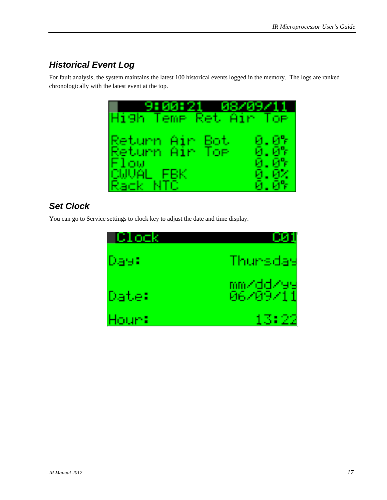## <span id="page-17-0"></span>*Historical Event Log*

For fault analysis, the system maintains the latest 100 historical events logged in the memory. The logs are ranked chronologically with the latest event at the top.



## *Set Clock*

You can go to Service settings to clock key to adjust the date and time display.

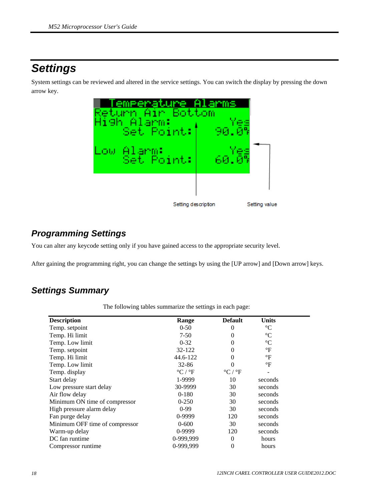# <span id="page-18-0"></span>*Settings*

System settings can be reviewed and altered in the service settings. You can switch the display by pressing the down arrow key.



#### *Programming Settings*

You can alter any keycode setting only if you have gained access to the appropriate security level.

After gaining the programming right, you can change the settings by using the [UP arrow] and [Down arrow] keys.

#### *Settings Summary*

| The following tables summarize the settings in each page: |  |
|-----------------------------------------------------------|--|
|                                                           |  |

| <b>Description</b>             | Range                                       | <b>Default</b>                          | <b>Units</b>    |  |
|--------------------------------|---------------------------------------------|-----------------------------------------|-----------------|--|
| Temp. setpoint                 | $0 - 50$                                    | 0                                       | $\rm ^{\circ}C$ |  |
| Temp. Hi limit                 | $7-50$                                      | 0                                       | $\rm ^{\circ}C$ |  |
| Temp. Low limit                | $0 - 32$                                    | 0                                       | $\rm ^{\circ}C$ |  |
| Temp. setpoint                 | 32-122                                      | 0                                       | $\mathrm{P}$    |  |
| Temp. Hi limit                 | 44.6-122                                    | 0                                       | $\mathrm{P}$    |  |
| Temp. Low limit                | $32 - 86$                                   | 0                                       | $\mathrm{P}$    |  |
| Temp. display                  | $\mathrm{^{\circ}C}$ / $\mathrm{^{\circ}F}$ | $\mathrm{^{\circ}C}/\mathrm{^{\circ}F}$ |                 |  |
| Start delay                    | 1-9999                                      | 10                                      | seconds         |  |
| Low pressure start delay       | 30-9999                                     | 30                                      | seconds         |  |
| Air flow delay                 | $0-180$                                     | 30                                      | seconds         |  |
| Minimum ON time of compressor  | $0 - 250$                                   | 30                                      | seconds         |  |
| High pressure alarm delay      | $0-99$                                      | 30                                      | seconds         |  |
| Fan purge delay                | 0-9999                                      | 120                                     | seconds         |  |
| Minimum OFF time of compressor | $0 - 600$                                   | 30                                      | seconds         |  |
| Warm-up delay                  | 0-9999                                      | 120                                     | seconds         |  |
| DC fan runtime                 | 0-999,999                                   | $\Omega$                                | hours           |  |
| Compressor runtime             | 0-999,999                                   | 0                                       | hours           |  |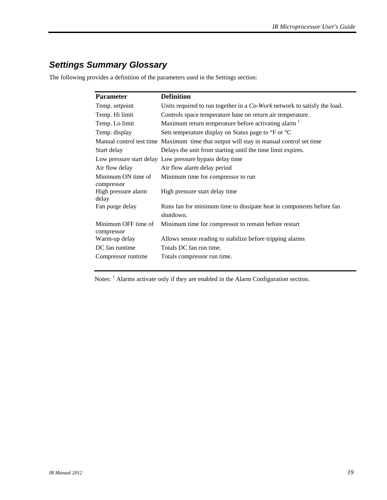## <span id="page-19-0"></span>*Settings Summary Glossary*

The following provides a definition of the parameters used in the Settings section:

| <b>Parameter</b>                           | <b>Definition</b>                                                                      |
|--------------------------------------------|----------------------------------------------------------------------------------------|
| Temp. setpoint                             | Units required to run together in a Co-Work network to satisfy the load.               |
| Temp. Hi limit                             | Controls space temperature base on return air temperature.                             |
| Temp. Lo limit                             | Maximum return temperature before activating alarm <sup>1</sup>                        |
| Temp. display                              | Sets temperature display on Status page to °F or °C                                    |
|                                            | Manual control test time Maximum time that output will stay in manual control set time |
| Start delay                                | Delays the unit from starting until the time limit expires.                            |
|                                            | Low pressure start delay Low pressure bypass delay time                                |
| Air flow delay                             | Air flow alarm delay period                                                            |
| Minimum ON time of                         | Minimum time for compressor to run                                                     |
| compressor<br>High pressure alarm<br>delay | High pressure start delay time                                                         |
| Fan purge delay                            | Runs fan for minimum time to dissipate heat in components before fan<br>shutdown.      |
| Minimum OFF time of<br>compressor          | Minimum time for compressor to remain before restart                                   |
| Warm-up delay                              | Allows sensor reading to stabilize before tripping alarms                              |
| DC fan runtime                             | Totals DC fan run time.                                                                |
| Compressor runtime                         | Totals compressor run time.                                                            |

Notes: <sup>1</sup> Alarms activate only if they are enabled in the Alarm Configuration section.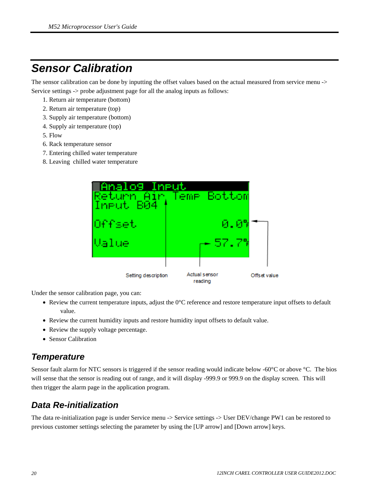## <span id="page-20-0"></span>*Sensor Calibration*

The sensor calibration can be done by inputting the offset values based on the actual measured from service menu -> Service settings -> probe adjustment page for all the analog inputs as follows:

- 1. Return air temperature (bottom)
- 2. Return air temperature (top)
- 3. Supply air temperature (bottom)
- 4. Supply air temperature (top)
- 5. Flow
- 6. Rack temperature sensor
- 7. Entering chilled water temperature
- 8. Leaving chilled water temperature



Under the sensor calibration page, you can:

- Review the current temperature inputs, adjust the 0°C reference and restore temperature input offsets to default value.
- Review the current humidity inputs and restore humidity input offsets to default value.
- Review the supply voltage percentage.
- Sensor Calibration

#### *Temperature*

Sensor fault alarm for NTC sensors is triggered if the sensor reading would indicate below -60°C or above °C. The bios will sense that the sensor is reading out of range, and it will display -999.9 or 999.9 on the display screen. This will then trigger the alarm page in the application program.

#### *Data Re-initialization*

The data re-initialization page is under Service menu -> Service settings -> User DEV/change PW1 can be restored to previous customer settings selecting the parameter by using the [UP arrow] and [Down arrow] keys.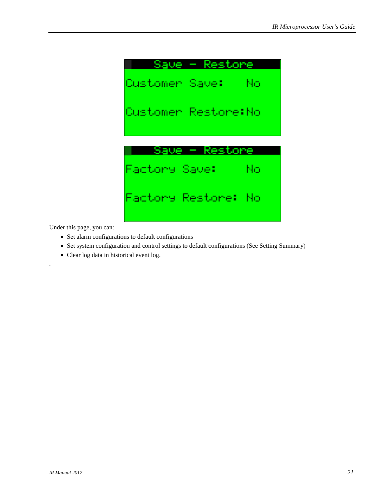

Under this page, you can:

.

- Set alarm configurations to default configurations
- Set system configuration and control settings to default configurations (See Setting Summary)
- Clear log data in historical event log.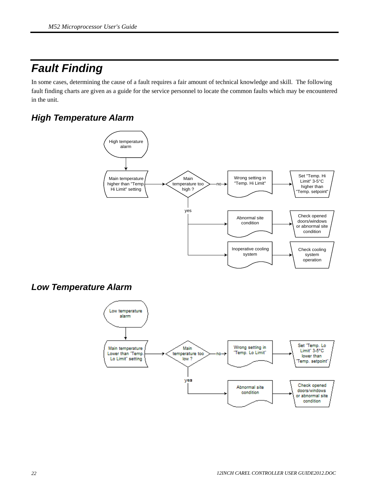# <span id="page-22-0"></span>*Fault Finding*

In some cases, determining the cause of a fault requires a fair amount of technical knowledge and skill. The following fault finding charts are given as a guide for the service personnel to locate the common faults which may be encountered in the unit.

#### *High Temperature Alarm*



#### *Low Temperature Alarm*

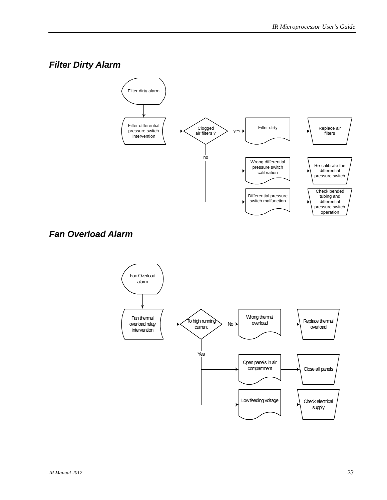## <span id="page-23-0"></span>*Filter Dirty Alarm*



#### *Fan Overload Alarm*

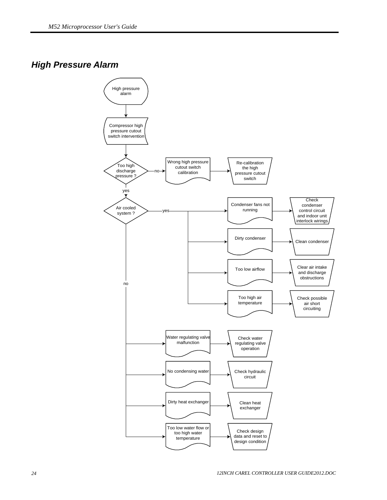#### <span id="page-24-0"></span>*High Pressure Alarm*

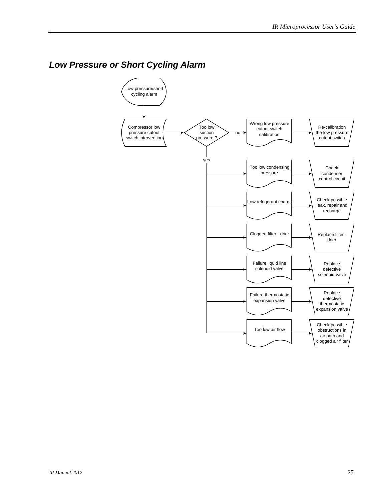## <span id="page-25-0"></span>*Low Pressure or Short Cycling Alarm*

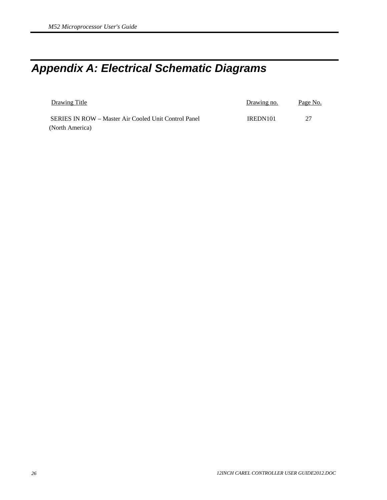# <span id="page-26-0"></span>*Appendix A: Electrical Schematic Diagrams*

| Drawing Title                                        | Drawing no.          | Page No. |
|------------------------------------------------------|----------------------|----------|
| SERIES IN ROW – Master Air Cooled Unit Control Panel | IREDN <sub>101</sub> | -27      |
| (North America)                                      |                      |          |